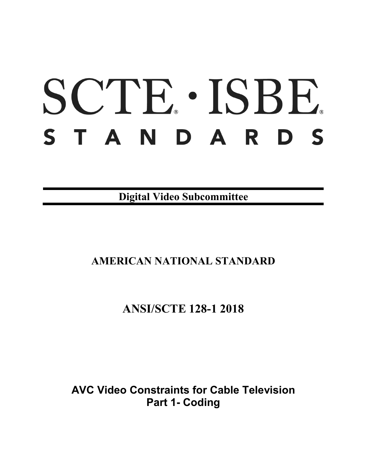# SCTE · ISBE. STANDARDS

**Digital Video Subcommittee**

# **AMERICAN NATIONAL STANDARD**

# **ANSI/SCTE 128-1 2018**

**AVC Video Constraints for Cable Television Part 1- Coding**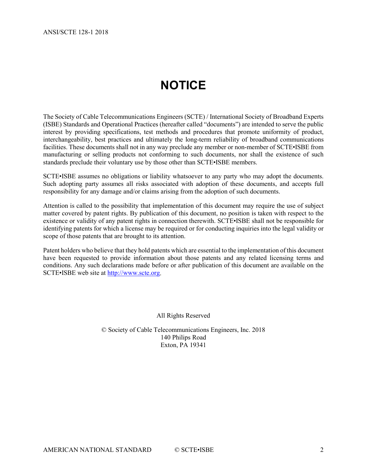# **NOTICE**

<span id="page-1-0"></span>The Society of Cable Telecommunications Engineers (SCTE) / International Society of Broadband Experts (ISBE) Standards and Operational Practices (hereafter called "documents") are intended to serve the public interest by providing specifications, test methods and procedures that promote uniformity of product, interchangeability, best practices and ultimately the long-term reliability of broadband communications facilities. These documents shall not in any way preclude any member or non-member of SCTE•ISBE from manufacturing or selling products not conforming to such documents, nor shall the existence of such standards preclude their voluntary use by those other than SCTE•ISBE members.

SCTE•ISBE assumes no obligations or liability whatsoever to any party who may adopt the documents. Such adopting party assumes all risks associated with adoption of these documents, and accepts full responsibility for any damage and/or claims arising from the adoption of such documents.

Attention is called to the possibility that implementation of this document may require the use of subject matter covered by patent rights. By publication of this document, no position is taken with respect to the existence or validity of any patent rights in connection therewith. SCTE•ISBE shall not be responsible for identifying patents for which a license may be required or for conducting inquiries into the legal validity or scope of those patents that are brought to its attention.

Patent holders who believe that they hold patents which are essential to the implementation of this document have been requested to provide information about those patents and any related licensing terms and conditions. Any such declarations made before or after publication of this document are available on the SCTE•ISBE web site at [http://www.scte.org.](http://www.scte.org/)

All Rights Reserved

© Society of Cable Telecommunications Engineers, Inc. 2018 140 Philips Road Exton, PA 19341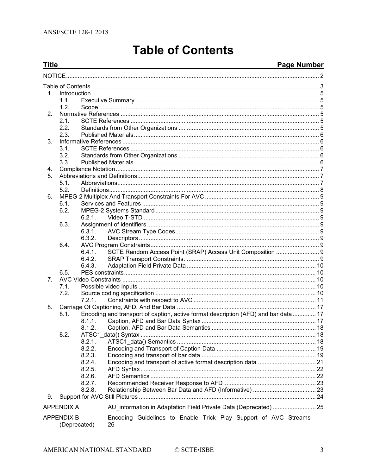# **Table of Contents**

#### Page Number

<span id="page-2-0"></span>

| <b>Title</b> |                   |                  | <u> 1989 - Jan Salam Barat, masjid a shekara ta 1989 - An tsara ta 1989 - An tsara ta 1989 - An tsara ta 1989 - </u> | <b>Page Number</b> |
|--------------|-------------------|------------------|----------------------------------------------------------------------------------------------------------------------|--------------------|
|              |                   |                  |                                                                                                                      |                    |
|              |                   |                  |                                                                                                                      |                    |
| 1.           |                   |                  |                                                                                                                      |                    |
|              | 1.1.              |                  |                                                                                                                      |                    |
|              | 1.2 <sub>1</sub>  |                  |                                                                                                                      |                    |
| 2.           |                   |                  |                                                                                                                      |                    |
|              | 2.1.              |                  |                                                                                                                      |                    |
|              | 2.2.              |                  |                                                                                                                      |                    |
|              | 2.3.              |                  |                                                                                                                      |                    |
| 3.           |                   |                  |                                                                                                                      |                    |
|              | 3.1.              |                  |                                                                                                                      |                    |
|              | 3.2.              |                  |                                                                                                                      |                    |
|              | 3.3.              |                  |                                                                                                                      |                    |
| 4.           |                   |                  |                                                                                                                      |                    |
| 5.           |                   |                  |                                                                                                                      |                    |
|              | 5.1.<br>5.2.      |                  |                                                                                                                      |                    |
| 6.           |                   |                  |                                                                                                                      |                    |
|              | 6.1.              |                  |                                                                                                                      |                    |
|              | 6.2.              |                  |                                                                                                                      |                    |
|              |                   | 6.2.1.           |                                                                                                                      |                    |
|              | 6.3.              |                  |                                                                                                                      |                    |
|              |                   | 6.3.1.           |                                                                                                                      |                    |
|              |                   | 6.3.2.           |                                                                                                                      |                    |
|              | 6.4.              |                  |                                                                                                                      |                    |
|              |                   | 6.4.1.           | SCTE Random Access Point (SRAP) Access Unit Composition  9                                                           |                    |
|              |                   | 6.4.2.           |                                                                                                                      |                    |
|              |                   | 6.4.3.           |                                                                                                                      |                    |
|              | 6.5.              |                  |                                                                                                                      |                    |
| 7.           |                   |                  |                                                                                                                      |                    |
|              | 7.1.              |                  |                                                                                                                      |                    |
|              | 7.2.              |                  |                                                                                                                      |                    |
|              |                   | 7.2.1.           |                                                                                                                      |                    |
| 8.           |                   |                  |                                                                                                                      |                    |
|              | 8.1.              |                  | Encoding and transport of caption, active format description (AFD) and bar data  17                                  |                    |
|              |                   | 8.1.1.           |                                                                                                                      |                    |
|              |                   |                  |                                                                                                                      |                    |
|              | 8.2.              |                  |                                                                                                                      |                    |
|              |                   | 8.2.1.           |                                                                                                                      |                    |
|              |                   | 8.2.2.<br>8.2.3. |                                                                                                                      |                    |
|              |                   | 8.2.4.           |                                                                                                                      |                    |
|              |                   | 8.2.5.           |                                                                                                                      |                    |
|              |                   | 8.2.6.           |                                                                                                                      |                    |
|              |                   | 8.2.7.           |                                                                                                                      |                    |
|              |                   | 8.2.8.           |                                                                                                                      |                    |
| 9.           |                   |                  |                                                                                                                      |                    |
|              | <b>APPENDIX A</b> |                  | AU_information in Adaptation Field Private Data (Deprecated)  25                                                     |                    |
|              | <b>APPENDIX B</b> | (Deprecated)     | Encoding Guidelines to Enable Trick Play Support of AVC Streams<br>26                                                |                    |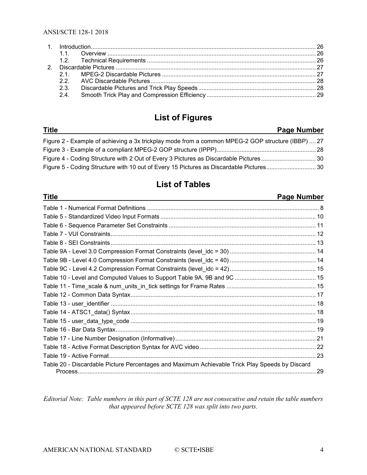# **List of Figures**

| <b>Title</b>                                                                                      | Page Number |
|---------------------------------------------------------------------------------------------------|-------------|
| Figure 2 - Example of achieving a 3x trickplay mode from a common MPEG-2 GOP structure (IBBP)  27 |             |
|                                                                                                   |             |
|                                                                                                   |             |
|                                                                                                   |             |

# **List of Tables**

| <b>Title</b><br><b>Page Number</b>                                                             |     |
|------------------------------------------------------------------------------------------------|-----|
|                                                                                                |     |
|                                                                                                |     |
|                                                                                                |     |
|                                                                                                |     |
|                                                                                                |     |
|                                                                                                |     |
|                                                                                                |     |
|                                                                                                |     |
|                                                                                                |     |
|                                                                                                |     |
|                                                                                                |     |
|                                                                                                |     |
|                                                                                                |     |
|                                                                                                |     |
|                                                                                                |     |
|                                                                                                |     |
|                                                                                                |     |
|                                                                                                | -23 |
| Table 20 - Discardable Picture Percentages and Maximum Achievable Trick Play Speeds by Discard |     |

*Editorial Note: Table numbers in this part of SCTE 128 are not consecutive and retain the table numbers that appeared before SCTE 128 was split into two parts.*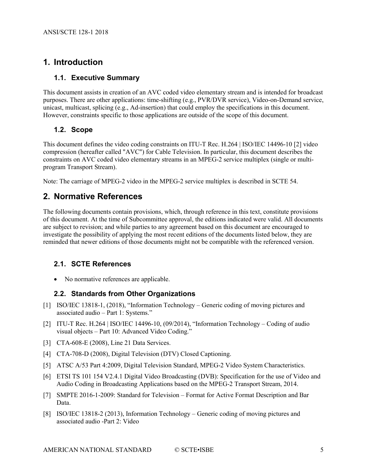# <span id="page-4-0"></span>**1. Introduction**

#### <span id="page-4-1"></span>**1.1. Executive Summary**

This document assists in creation of an AVC coded video elementary stream and is intended for broadcast purposes. There are other applications: time-shifting (e.g., PVR/DVR service), Video-on-Demand service, unicast, multicast, splicing (e.g., Ad-insertion) that could employ the specifications in this document. However, constraints specific to those applications are outside of the scope of this document.

#### <span id="page-4-2"></span>**1.2. Scope**

This document defines the video coding constraints on ITU-T Rec. H.264 | ISO/IEC 14496-10 [\[2\]](#page-4-6) video compression (hereafter called "AVC") for Cable Television. In particular, this document describes the constraints on AVC coded video elementary streams in an MPEG-2 service multiplex (single or multiprogram Transport Stream).

<span id="page-4-3"></span>Note: The carriage of MPEG-2 video in the MPEG-2 service multiplex is described in SCTE 54.

## **2. Normative References**

The following documents contain provisions, which, through reference in this text, constitute provisions of this document. At the time of Subcommittee approval, the editions indicated were valid. All documents are subject to revision; and while parties to any agreement based on this document are encouraged to investigate the possibility of applying the most recent editions of the documents listed below, they are reminded that newer editions of those documents might not be compatible with the referenced version.

#### <span id="page-4-4"></span>**2.1. SCTE References**

<span id="page-4-5"></span>• No normative references are applicable.

#### **2.2. Standards from Other Organizations**

- <span id="page-4-7"></span>[1] ISO/IEC 13818-1, (2018), "Information Technology – Generic coding of moving pictures and associated audio – Part 1: Systems."
- <span id="page-4-6"></span>[2] ITU-T Rec. H.264 | ISO/IEC 14496-10, (09/2014), "Information Technology – Coding of audio visual objects – Part 10: Advanced Video Coding."
- <span id="page-4-9"></span>[3] CTA-608-E (2008), Line 21 Data Services.
- <span id="page-4-8"></span>[4] CTA-708-D (2008), Digital Television (DTV) Closed Captioning.
- <span id="page-4-11"></span>[5] ATSC A/53 Part 4:2009, Digital Television Standard, MPEG-2 Video System Characteristics.
- <span id="page-4-12"></span>[6] ETSI TS 101 154 V2.4.1 Digital Video Broadcasting (DVB): Specification for the use of Video and Audio Coding in Broadcasting Applications based on the MPEG-2 Transport Stream, 2014.
- <span id="page-4-10"></span>[7] SMPTE 2016-1-2009: Standard for Television – Format for Active Format Description and Bar Data.
- [8] ISO/IEC 13818-2 (2013), Information Technology Generic coding of moving pictures and associated audio -Part 2: Video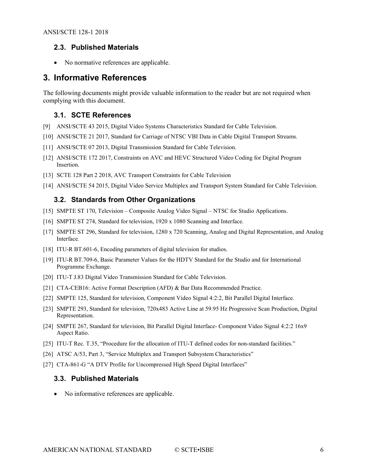#### <span id="page-5-0"></span>**2.3. Published Materials**

• No normative references are applicable.

#### <span id="page-5-1"></span>**3. Informative References**

The following documents might provide valuable information to the reader but are not required when complying with this document.

#### <span id="page-5-2"></span>**3.1. SCTE References**

- [9] ANSI/SCTE 43 2015, Digital Video Systems Characteristics Standard for Cable Television.
- [10] ANSI/SCTE 21 2017, Standard for Carriage of NTSC VBI Data in Cable Digital Transport Streams.
- [11] ANSI/SCTE 07 2013, Digital Transmission Standard for Cable Television.
- <span id="page-5-9"></span>[12] ANSI/SCTE 172 2017, Constraints on AVC and HEVC Structured Video Coding for Digital Program Insertion.
- [13] SCTE 128 Part 2 2018, AVC Transport Constraints for Cable Television
- <span id="page-5-3"></span>[14] ANSI/SCTE 54 2015, Digital Video Service Multiplex and Transport System Standard for Cable Television.

#### **3.2. Standards from Other Organizations**

- <span id="page-5-5"></span>[15] SMPTE ST 170, Television – Composite Analog Video Signal – NTSC for Studio Applications.
- [16] SMPTE ST 274, Standard for television, 1920 x 1080 Scanning and Interface.
- <span id="page-5-6"></span>[17] SMPTE ST 296, Standard for television, 1280 x 720 Scanning, Analog and Digital Representation, and Analog Interface*.*
- <span id="page-5-7"></span>[18] ITU-R BT.601-6, Encoding parameters of digital television for studios.
- [19] ITU-R BT.709-6, Basic Parameter Values for the HDTV Standard for the Studio and for International Programme Exchange.
- [20] ITU-T J.83 Digital Video Transmission Standard for Cable Television.
- <span id="page-5-13"></span>[21] CTA-CEB16: Active Format Description (AFD) & Bar Data Recommended Practice.
- <span id="page-5-10"></span>[22] SMPTE 125, Standard for television, Component Video Signal 4:2:2, Bit Parallel Digital Interface.
- <span id="page-5-11"></span>[23] SMPTE 293, Standard for television, 720x483 Active Line at 59.95 Hz Progressive Scan Production, Digital Representation.
- [24] SMPTE 267, Standard for television, Bit Parallel Digital Interface- Component Video Signal 4:2:2 16x9 Aspect Ratio.
- <span id="page-5-8"></span>[25] ITU-T Rec. T.35, "Procedure for the allocation of ITU-T defined codes for non-standard facilities."
- [26] ATSC A/53, Part 3, "Service Multiplex and Transport Subsystem Characteristics"
- <span id="page-5-12"></span><span id="page-5-4"></span>[27] CTA-861-G "A DTV Profile for Uncompressed High Speed Digital Interfaces"

#### **3.3. Published Materials**

• No informative references are applicable.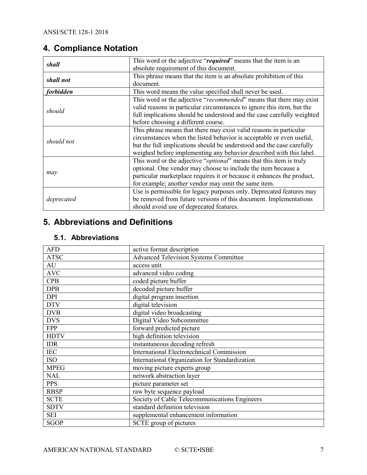# <span id="page-6-0"></span>**4. Compliance Notation**

| shall            | This word or the adjective "required" means that the item is an              |  |
|------------------|------------------------------------------------------------------------------|--|
|                  | absolute requirement of this document.                                       |  |
| shall not        | This phrase means that the item is an absolute prohibition of this           |  |
|                  | document.                                                                    |  |
| <i>forbidden</i> | This word means the value specified shall never be used.                     |  |
|                  | This word or the adjective "recommended" means that there may exist          |  |
| should           | valid reasons in particular circumstances to ignore this item, but the       |  |
|                  | full implications should be understood and the case carefully weighted       |  |
|                  | before choosing a different course.                                          |  |
|                  | This phrase means that there may exist valid reasons in particular           |  |
| should not       | circumstances when the listed behavior is acceptable or even useful,         |  |
|                  | but the full implications should be understood and the case carefully        |  |
|                  | weighed before implementing any behavior described with this label.          |  |
|                  | This word or the adjective " <i>optional</i> " means that this item is truly |  |
|                  | optional. One vendor may choose to include the item because a                |  |
| may              | particular marketplace requires it or because it enhances the product,       |  |
|                  | for example; another vendor may omit the same item.                          |  |
|                  | Use is permissible for legacy purposes only. Deprecated features may         |  |
| deprecated       | be removed from future versions of this document. Implementations            |  |
|                  | should avoid use of deprecated features.                                     |  |

# <span id="page-6-1"></span>**5. Abbreviations and Definitions**

### <span id="page-6-2"></span>**5.1. Abbreviations**

| <b>AFD</b>  | active format description                        |
|-------------|--------------------------------------------------|
| <b>ATSC</b> | <b>Advanced Television Systems Committee</b>     |
| AU          | access unit                                      |
| <b>AVC</b>  | advanced video coding                            |
| <b>CPB</b>  | coded picture buffer                             |
| <b>DPB</b>  | decoded picture buffer                           |
| <b>DPI</b>  | digital program insertion                        |
| <b>DTV</b>  | digital television                               |
| <b>DVB</b>  | digital video broadcasting                       |
| <b>DVS</b>  | Digital Video Subcommittee                       |
| <b>FPP</b>  | forward predicted picture                        |
| <b>HDTV</b> | high definition television                       |
| <b>IDR</b>  | instantaneous decoding refresh                   |
| <b>IEC</b>  | <b>International Electrotechnical Commission</b> |
| <b>ISO</b>  | International Organization for Standardization   |
| <b>MPEG</b> | moving picture experts group                     |
| <b>NAL</b>  | network abstraction layer                        |
| <b>PPS</b>  | picture parameter set                            |
| <b>RBSP</b> | raw byte sequence payload                        |
| <b>SCTE</b> | Society of Cable Telecommunications Engineers    |
| <b>SDTV</b> | standard definition television                   |
| <b>SEI</b>  | supplemental enhancement information             |
| <b>SGOP</b> | SCTE group of pictures                           |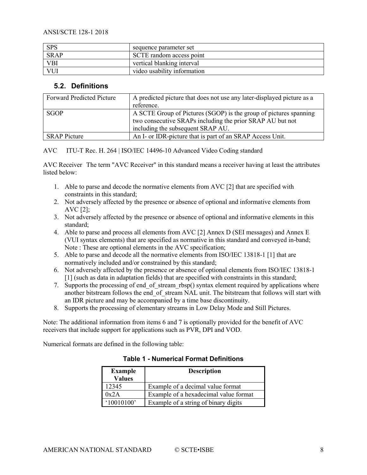| <b>SPS</b>  | sequence parameter set      |
|-------------|-----------------------------|
| <b>SRAP</b> | SCTE random access point    |
| <b>VBI</b>  | vertical blanking interval  |
| VUI         | video usability information |

#### <span id="page-7-0"></span>**5.2. Definitions**

| <b>Forward Predicted Picture</b> | A predicted picture that does not use any later-displayed picture as a<br>reference.                                                                                |
|----------------------------------|---------------------------------------------------------------------------------------------------------------------------------------------------------------------|
| <b>SGOP</b>                      | A SCTE Group of Pictures (SGOP) is the group of pictures spanning<br>two consecutive SRAPs including the prior SRAP AU but not<br>including the subsequent SRAP AU. |
| <b>SRAP</b> Picture              | An I- or IDR-picture that is part of an SRAP Access Unit.                                                                                                           |

AVC ITU-T Rec. H. 264 | ISO/IEC 14496-10 Advanced Video Coding standard

AVC Receiver The term "AVC Receiver" in this standard means a receiver having at least the attributes listed below:

- 1. Able to parse and decode the normative elements from AVC [2] that are specified with constraints in this standard;
- 2. Not adversely affected by the presence or absence of optional and informative elements from AVC [2];
- 3. Not adversely affected by the presence or absence of optional and informative elements in this standard;
- 4. Able to parse and process all elements from AVC [2] Annex D (SEI messages) and Annex E (VUI syntax elements) that are specified as normative in this standard and conveyed in-band; Note : These are optional elements in the AVC specification;
- 5. Able to parse and decode all the normative elements from ISO/IEC 13818-1 [1] that are normatively included and/or constrained by this standard;
- 6. Not adversely affected by the presence or absence of optional elements from ISO/IEC 13818-1 [1] (such as data in adaptation fields) that are specified with constraints in this standard;
- 7. Supports the processing of end of stream rbsp() syntax element required by applications where another bitstream follows the end of stream NAL unit. The bitstream that follows will start with an IDR picture and may be accompanied by a time base discontinuity.
- 8. Supports the processing of elementary streams in Low Delay Mode and Still Pictures.

Note: The additional information from items 6 and 7 is optionally provided for the benefit of AVC receivers that include support for applications such as PVR, DPI and VOD.

<span id="page-7-1"></span>Numerical formats are defined in the following table:

#### **Table 1 - Numerical Format Definitions**

| <b>Example</b><br><b>Values</b> | <b>Description</b>                    |
|---------------------------------|---------------------------------------|
| 12345                           | Example of a decimal value format     |
| 0x2A                            | Example of a hexadecimal value format |
| $^{\circ}10010100$              | Example of a string of binary digits  |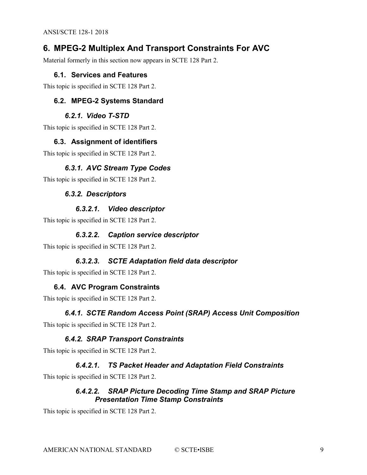# <span id="page-8-0"></span>**6. MPEG-2 Multiplex And Transport Constraints For AVC**

<span id="page-8-1"></span>Material formerly in this section now appears in SCTE 128 Part 2.

#### **6.1. Services and Features**

<span id="page-8-2"></span>This topic is specified in SCTE 128 Part 2.

#### **6.2. MPEG-2 Systems Standard**

#### *6.2.1. Video T-STD*

<span id="page-8-4"></span><span id="page-8-3"></span>This topic is specified in SCTE 128 Part 2.

#### **6.3. Assignment of identifiers**

<span id="page-8-5"></span>This topic is specified in SCTE 128 Part 2.

#### *6.3.1. AVC Stream Type Codes*

<span id="page-8-6"></span>This topic is specified in SCTE 128 Part 2.

#### *6.3.2. Descriptors*

#### *6.3.2.1. Video descriptor*

This topic is specified in SCTE 128 Part 2.

#### *6.3.2.2. Caption service descriptor*

This topic is specified in SCTE 128 Part 2.

#### *6.3.2.3. SCTE Adaptation field data descriptor*

<span id="page-8-7"></span>This topic is specified in SCTE 128 Part 2.

#### **6.4. AVC Program Constraints**

<span id="page-8-8"></span>This topic is specified in SCTE 128 Part 2.

#### *6.4.1. SCTE Random Access Point (SRAP) Access Unit Composition*

<span id="page-8-9"></span>This topic is specified in SCTE 128 Part 2.

#### *6.4.2. SRAP Transport Constraints*

This topic is specified in SCTE 128 Part 2.

#### *6.4.2.1. TS Packet Header and Adaptation Field Constraints*

This topic is specified in SCTE 128 Part 2.

#### *6.4.2.2. SRAP Picture Decoding Time Stamp and SRAP Picture Presentation Time Stamp Constraints*

This topic is specified in SCTE 128 Part 2.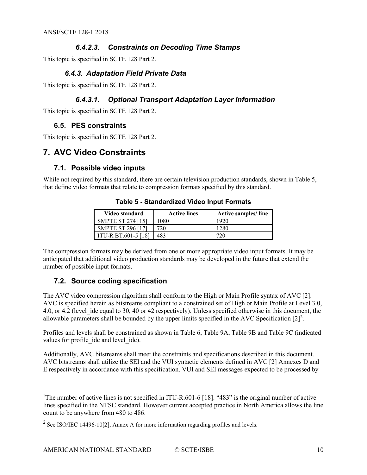#### *6.4.2.3. Constraints on Decoding Time Stamps*

<span id="page-9-0"></span>This topic is specified in SCTE 128 Part 2.

#### *6.4.3. Adaptation Field Private Data*

This topic is specified in SCTE 128 Part 2.

#### *6.4.3.1. Optional Transport Adaptation Layer Information*

<span id="page-9-1"></span>This topic is specified in SCTE 128 Part 2.

#### **6.5. PES constraints**

<span id="page-9-2"></span>This topic is specified in SCTE 128 Part 2.

## **7. AVC Video Constraints**

#### <span id="page-9-3"></span>**7.1. Possible video inputs**

<span id="page-9-5"></span>While not required by this standard, there are certain television production standards, shown in [Table 5,](#page-9-5) that define video formats that relate to compression formats specified by this standard.

| Video standard             | <b>Active lines</b> | Active samples/line |
|----------------------------|---------------------|---------------------|
| <b>SMPTE ST 274 [15]</b>   | 1080                | 1920                |
| <b>SMPTE ST 296 [17]</b>   | 720                 | 1280                |
| <b>ITU-R BT.601-5 [18]</b> | 483'                |                     |

**Table 5 - Standardized Video Input Formats**

The compression formats may be derived from one or more appropriate video input formats. It may be anticipated that additional video production standards may be developed in the future that extend the number of possible input formats.

#### <span id="page-9-4"></span>**7.2. Source coding specification**

 $\overline{a}$ 

The AVC video compression algorithm shall conform to the High or Main Profile syntax of AVC [2]. AVC is specified herein as bitstreams compliant to a constrained set of High or Main Profile at Level 3.0, 4.0, or 4.2 (level idc equal to 30, 40 or 42 respectively). Unless specified otherwise in this document, the allowable parameters shall be bounded by the upper limits specified in the AVC Specification  $[2]^2$  $[2]^2$  $[2]^2$ .

Profiles and levels shall be constrained as shown in [Table 6,](#page-10-1) [Table 9A](#page-13-0), [Table 9B](#page-13-1) and [Table 9C](#page-14-0) (indicated values for profile idc and level idc).

Additionally, AVC bitstreams shall meet the constraints and specifications described in this document. AVC bitstreams shall utilize the SEI and the VUI syntactic elements defined in AVC [2] Annexes D and E respectively in accordance with this specification. VUI and SEI messages expected to be processed by

<span id="page-9-6"></span><sup>&</sup>lt;sup>1</sup>The number of active lines is not specified in ITU-R.601-6 [\[18\].](#page-5-7) "483" is the original number of active lines specified in the NTSC standard. However current accepted practice in North America allows the line count to be anywhere from 480 to 486.

<span id="page-9-7"></span><sup>&</sup>lt;sup>2</sup> See ISO/IEC 14496-10<sup>[2]</sup>, Annex A for more information regarding profiles and levels.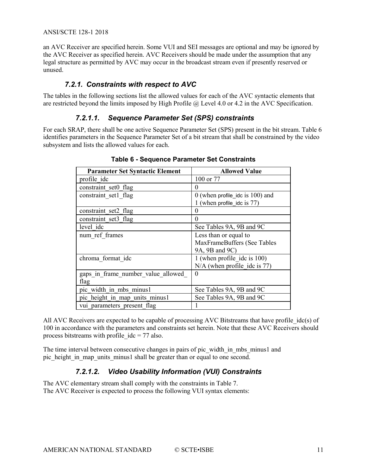an AVC Receiver are specified herein. Some VUI and SEI messages are optional and may be ignored by the AVC Receiver as specified herein. AVC Receivers should be made under the assumption that any legal structure as permitted by AVC may occur in the broadcast stream even if presently reserved or unused.

#### *7.2.1. Constraints with respect to AVC*

<span id="page-10-0"></span>The tables in the following sections list the allowed values for each of the AVC syntactic elements that are restricted beyond the limits imposed by High Profile @ Level 4.0 or 4.2 in the AVC Specification.

#### *7.2.1.1. Sequence Parameter Set (SPS) constraints*

<span id="page-10-1"></span>For each SRAP, there shall be one active Sequence Parameter Set (SPS) present in the bit stream. [Table 6](#page-10-1) identifies parameters in the Sequence Parameter Set of a bit stream that shall be constrained by the video subsystem and lists the allowed values for each.

| <b>Parameter Set Syntactic Element</b> | <b>Allowed Value</b>              |
|----------------------------------------|-----------------------------------|
| profile ide                            | 100 or 77                         |
| constraint set0 flag                   | 0                                 |
| constraint set1 flag                   | $0$ (when profile ide is 100) and |
|                                        | (when profile idc is 77)          |
| constraint set2 flag                   | 0                                 |
| constraint set3 flag                   | $\theta$                          |
| level idc                              | See Tables 9A, 9B and 9C          |
| num ref frames                         | Less than or equal to             |
|                                        | MaxFrameBuffers (See Tables       |
|                                        | 9A, 9B and 9C)                    |
| chroma format idc                      | 1 (when profile ide is 100)       |
|                                        | $N/A$ (when profile ide is 77)    |
| gaps in frame number value allowed     | $\Omega$                          |
| flag                                   |                                   |
| pic width in mbs minus1                | See Tables 9A, 9B and 9C          |
| pic height in map units minus1         | See Tables 9A, 9B and 9C          |
| vui parameters present flag            |                                   |

**Table 6 - Sequence Parameter Set Constraints**

All AVC Receivers are expected to be capable of processing AVC Bitstreams that have profile idc(s) of 100 in accordance with the parameters and constraints set herein. Note that these AVC Receivers should process bitstreams with profile  $idc = 77$  also.

The time interval between consecutive changes in pairs of pic\_width\_in\_mbs\_minus1 and pic\_height\_in\_map\_units\_minus1 shall be greater than or equal to one second.

#### *7.2.1.2. Video Usability Information (VUI) Constraints*

The AVC elementary stream shall comply with the constraints in [Table 7.](#page-11-0) The AVC Receiver is expected to process the following VUI syntax elements: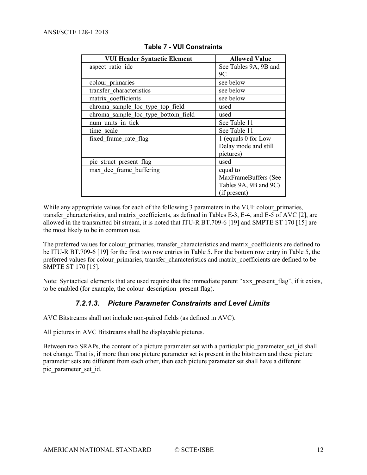<span id="page-11-0"></span>

| <b>VUI Header Syntactic Element</b> | <b>Allowed Value</b>  |
|-------------------------------------|-----------------------|
| aspect ratio idc                    | See Tables 9A, 9B and |
|                                     | 9C                    |
| colour primaries                    | see below             |
| transfer characteristics            | see below             |
| matrix coefficients                 | see below             |
| chroma sample loc type top field    | used                  |
| chroma sample loc type bottom field | used                  |
| num units in tick                   | See Table 11          |
| time scale                          | See Table 11          |
| fixed frame rate flag               | 1 (equals 0 for Low   |
|                                     | Delay mode and still  |
|                                     | pictures)             |
| pic struct present flag             | used                  |
| max dec frame buffering             | equal to              |
|                                     | MaxFrameBuffers (See  |
|                                     | Tables 9A, 9B and 9C) |
|                                     | (if present)          |

**Table 7 - VUI Constraints**

While any appropriate values for each of the following 3 parameters in the VUI: colour primaries, transfer characteristics, and matrix coefficients, as defined in Tables E-3, E-4, and E-5 of AVC [2], are allowed in the transmitted bit stream, it is noted that ITU-R BT.709-6 [19] and SMPTE ST 170 [15] are the most likely to be in common use.

The preferred values for colour primaries, transfer characteristics and matrix coefficients are defined to be ITU-R BT.709-6 [19] for the first two row entries in [Table 5.](#page-9-5) For the bottom row entry i[n Table 5,](#page-9-5) the preferred values for colour\_primaries, transfer\_characteristics and matrix\_coefficients are defined to be SMPTE ST 170 [\[15\].](#page-5-5)

Note: Syntactical elements that are used require that the immediate parent "xxx\_present\_flag", if it exists, to be enabled (for example, the colour\_description\_present flag).

#### *7.2.1.3. Picture Parameter Constraints and Level Limits*

AVC Bitstreams shall not include non-paired fields (as defined in AVC).

All pictures in AVC Bitstreams shall be displayable pictures.

Between two SRAPs, the content of a picture parameter set with a particular pic parameter set id shall not change. That is, if more than one picture parameter set is present in the bitstream and these picture parameter sets are different from each other, then each picture parameter set shall have a different pic parameter set id.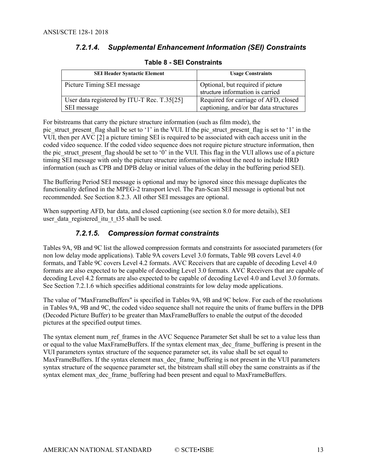#### *7.2.1.4. Supplemental Enhancement Information (SEI) Constraints*

<span id="page-12-0"></span>

| <b>SEI Header Syntactic Element</b>         | <b>Usage Constraints</b>               |
|---------------------------------------------|----------------------------------------|
| Picture Timing SEI message                  | Optional, but required if picture      |
|                                             | structure information is carried       |
| User data registered by ITU-T Rec. T.35[25] | Required for carriage of AFD, closed   |
| SEI message                                 | captioning, and/or bar data structures |

#### **Table 8 - SEI Constraints**

For bitstreams that carry the picture structure information (such as film mode), the pic\_struct\_present\_flag shall be set to '1' in the VUI. If the pic\_struct\_present\_flag is set to '1' in the VUI, then per AVC [2] a picture timing SEI is required to be associated with each access unit in the coded video sequence. If the coded video sequence does not require picture structure information, then the pic\_struct\_present\_flag should be set to  $\hat{0}'$  in the VUI. This flag in the VUI allows use of a picture timing SEI message with only the picture structure information without the need to include HRD information (such as CPB and DPB delay or initial values of the delay in the buffering period SEI).

The Buffering Period SEI message is optional and may be ignored since this message duplicates the functionality defined in the MPEG-2 transport level. The Pan-Scan SEI message is optional but not recommended. See Section 8.2.3. All other SEI messages are optional.

When supporting AFD, bar data, and closed captioning (see section 8.0 for more details), SEI user data registered itu t t $35$  shall be used.

#### *7.2.1.5. Compression format constraints*

Tables 9A, 9B and 9C list the allowed compression formats and constraints for associated parameters (for non low delay mode applications). [Table 9A](#page-13-0) covers Level 3.0 formats, [Table 9B](#page-13-1) covers Level 4.0 formats, an[d Table 9C](#page-14-0) covers Level 4.2 formats. AVC Receivers that are capable of decoding Level 4.0 formats are also expected to be capable of decoding Level 3.0 formats. AVC Receivers that are capable of decoding Level 4.2 formats are also expected to be capable of decoding Level 4.0 and Level 3.0 formats. See Section 7.2.1.6 which specifies additional constraints for low delay mode applications.

The value of "MaxFrameBuffers" is specified in Tables 9A, 9B and 9C below. For each of the resolutions in Tables 9A, 9B and 9C, the coded video sequence shall not require the units of frame buffers in the DPB (Decoded Picture Buffer) to be greater than MaxFrameBuffers to enable the output of the decoded pictures at the specified output times.

The syntax element num ref frames in the AVC Sequence Parameter Set shall be set to a value less than or equal to the value MaxFrameBuffers. If the syntax element max\_dec\_frame\_buffering is present in the VUI parameters syntax structure of the sequence parameter set, its value shall be set equal to MaxFrameBuffers. If the syntax element max\_dec\_frame\_buffering is not present in the VUI parameters syntax structure of the sequence parameter set, the bitstream shall still obey the same constraints as if the syntax element max dec frame buffering had been present and equal to MaxFrameBuffers.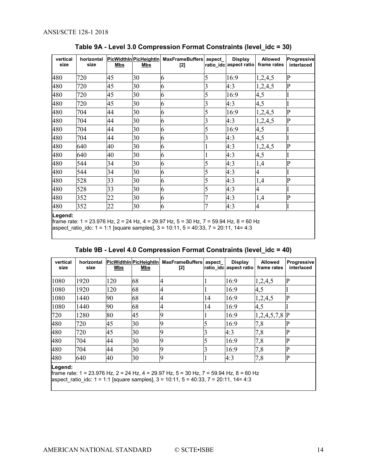<span id="page-13-0"></span>

| vertical<br>size | horizontal<br>size | Mbs | PicWidthin PicHeightin<br><u>Mbs</u> | <b>MaxFrameBuffers</b><br>[2] | aspect         | <b>Display</b><br>ratio idc aspect ratio | <b>Allowed</b><br>frame rates | Progressive<br>interlaced |
|------------------|--------------------|-----|--------------------------------------|-------------------------------|----------------|------------------------------------------|-------------------------------|---------------------------|
| 480              | 720                | 45  | 30                                   | 6                             | 5              | 16:9                                     | 1,2,4,5                       | P                         |
| 480              | 720                | 45  | 30                                   | 6                             | 3              | 4:3                                      | 1,2,4,5                       | $\overline{P}$            |
| 480              | 720                | 45  | 30                                   | 6                             | 5              | 16:9                                     | 4,5                           |                           |
| 480              | 720                | 45  | 30                                   | 6                             | 3              | 4:3                                      | 4,5                           |                           |
| 480              | 704                | 44  | 30                                   | 6                             | 5              | 16:9                                     | 1,2,4,5                       | $\overline{P}$            |
| 480              | 704                | 44  | 30                                   | 6                             | 3              | 4:3                                      | 1,2,4,5                       | P                         |
| 480              | 704                | 44  | 30                                   | 6                             | 5              | 16:9                                     | 4,5                           |                           |
| 480              | 704                | 44  | 30                                   | 6                             | 3              | 4:3                                      | 4,5                           |                           |
| 480              | 640                | 40  | 30                                   | 6                             |                | 4:3                                      | 1,2,4,5                       | P                         |
| 480              | 640                | 40  | 30                                   | 6                             |                | 4:3                                      | 4,5                           |                           |
| 480              | 544                | 34  | 30                                   | 6                             | 5              | 4:3                                      | 1,4                           | P                         |
| 480              | 544                | 34  | 30                                   | 6                             | 5              | 4:3                                      | 4                             |                           |
| 480              | 528                | 33  | 30                                   | 6                             | 5              | 4:3                                      | 1,4                           | P                         |
| 480              | 528                | 33  | 30                                   | 6                             | 5              | 4:3                                      | 4                             |                           |
| 480              | 352                | 22  | 30                                   | 6                             |                | 4:3                                      | 1,4                           | $\overline{P}$            |
| 480<br>Il ogond: | 352                | 22  | 30                                   | 6                             | $\overline{7}$ | 4:3                                      | $\overline{4}$                |                           |

**Table 9A - Level 3.0 Compression Format Constraints (level\_idc = 30)**

**Legend:**

frame rate: 1 = 23.976 Hz, 2 = 24 Hz, 4 = 29.97 Hz, 5 = 30 Hz, 7 = 59.94 Hz, 8 = 60 Hz aspect\_ratio\_idc: 1 = 1:1 [square samples], 3 = 10:11, 5 = 40:33, 7 = 20:11, 14= 4:3

| Table 9B - Level 4.0 Compression Format Constraints (level_idc = 40) |  |
|----------------------------------------------------------------------|--|
|----------------------------------------------------------------------|--|

<span id="page-13-1"></span>

| vertical<br>size | horizontal<br>size | Mbs | PicWidthin PicHeightin<br>Mbs | <b>MaxFrameBuffers</b><br>[2] | aspect | <b>Display</b><br>ratio idc aspect ratio | <b>Allowed</b><br>frame rates | Progressive<br>interlaced |
|------------------|--------------------|-----|-------------------------------|-------------------------------|--------|------------------------------------------|-------------------------------|---------------------------|
| 1080             | 1920               | 120 | 68                            | 4                             |        | 16:9                                     | 1,2,4,5                       |                           |
| 1080             | 1920               | 120 | 68                            | 4                             |        | 16:9                                     | 4,5                           |                           |
| 1080             | 1440               | 90  | 68                            |                               | 14     | 16:9                                     | 1,2,4,5                       | D                         |
| 1080             | 1440               | 90  | 68                            |                               | 14     | 16:9                                     | 4,5                           |                           |
| 720              | 1280               | 80  | 45                            |                               |        | 16:9                                     | $1,2,4,5,7,8$ P               |                           |
| 480              | 720                | 45  | 30                            |                               |        | 16:9                                     | 7,8                           |                           |
| 480              | 720                | 45  | 30                            |                               |        | 4:3                                      | 7,8                           |                           |
| 480              | 704                | 44  | 30                            |                               |        | 16:9                                     | 7,8                           |                           |
| 480              | 704                | 44  | 30                            |                               |        | 16:9                                     | 7,8                           |                           |
| 480              | 640                | 40  | 30                            |                               |        | 4:3                                      | 7,8                           | D                         |

**Legend:**

frame rate: 1 = 23.976 Hz, 2 = 24 Hz, 4 = 29.97 Hz, 5 = 30 Hz, 7 = 59.94 Hz, 8 = 60 Hz aspect\_ratio\_idc: 1 = 1:1 [square samples], 3 = 10:11, 5 = 40:33, 7 = 20:11, 14= 4:3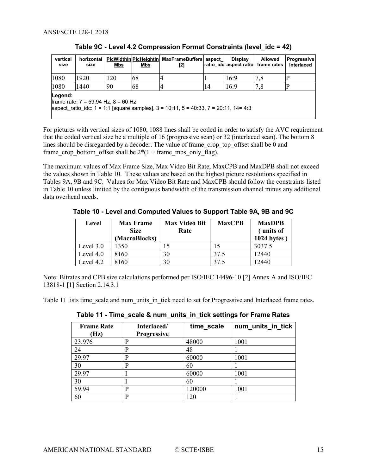<span id="page-14-0"></span>

| vertical<br>size | horizontal<br>size                                                                                                                            | <b>Mbs</b> | <b>Mbs</b> | PicWidthin PicHeightin   MaxFrameBuffers   aspect<br>[2] |    | <b>Display</b><br>ratio idc aspect ratio | <b>Allowed</b><br>frame rates | <b>Progressive</b><br>interlaced |
|------------------|-----------------------------------------------------------------------------------------------------------------------------------------------|------------|------------|----------------------------------------------------------|----|------------------------------------------|-------------------------------|----------------------------------|
| 1080             | 1920                                                                                                                                          | 120        | 68         |                                                          |    | 16:9                                     | 7,8                           |                                  |
| 1080             | 1440                                                                                                                                          | 90         | 68         |                                                          | 14 | 16:9                                     | 7,8                           |                                  |
| Legend:          | frame rate: $7 = 59.94$ Hz, $8 = 60$ Hz<br>aspect ratio idc: $1 = 1:1$ [square samples], $3 = 10:11$ , $5 = 40:33$ , $7 = 20:11$ , $14 = 4:3$ |            |            |                                                          |    |                                          |                               |                                  |

**Table 9C - Level 4.2 Compression Format Constraints (level\_idc = 42)**

For pictures with vertical sizes of 1080, 1088 lines shall be coded in order to satisfy the AVC requirement that the coded vertical size be a multiple of 16 (progressive scan) or 32 (interlaced scan). The bottom 8 lines should be disregarded by a decoder. The value of frame\_crop\_top\_offset shall be 0 and frame crop bottom offset shall be  $2*(1 + \text{frame} \text{ mbs} \text{ only flag}).$ 

The maximum values of Max Frame Size, Max Video Bit Rate, MaxCPB and MaxDPB shall not exceed the values shown in [Table 10.](#page-14-1) These values are based on the highest picture resolutions specified in Tables 9A, 9B and 9C. Values for Max Video Bit Rate and MaxCPB should follow the constraints listed in [Table 10](#page-14-1) unless limited by the contiguous bandwidth of the transmission channel minus any additional data overhead needs.

<span id="page-14-1"></span>**Table 10 - Level and Computed Values to Support Table 9A, 9B and 9C**

| Level       | <b>Max Frame</b> | <b>Max Video Bit</b> | <b>MaxCPB</b> | <b>MaxDPB</b> |
|-------------|------------------|----------------------|---------------|---------------|
|             | <b>Size</b>      | Rate                 |               | units of      |
|             | (MacroBlocks)    |                      |               | 1024 bytes    |
| Level $3.0$ | 1350             |                      |               | 3037.5        |
| Level $4.0$ | 8160             | 30                   | 37.5          | 12440         |
| Level 4.2   | 8160             | 30                   | 37.5          | 2440          |

Note: Bitrates and CPB size calculations performed per ISO/IEC 14496-10 [2] Annex A and ISO/IEC 13818-1 [1] Section 2.14.3.1

<span id="page-14-2"></span>[Table 11](#page-14-2) lists time\_scale and num\_units\_in\_tick need to set for Progressive and Interlaced frame rates.

**Table 11 - Time\_scale & num\_units\_in\_tick settings for Frame Rates**

| <b>Frame Rate</b><br>(Hz) | Interlaced/<br><b>Progressive</b> | time_scale | num_units_in_tick |
|---------------------------|-----------------------------------|------------|-------------------|
| 23.976                    | P                                 | 48000      | 1001              |
| 24                        | P                                 | 48         |                   |
| 29.97                     | P                                 | 60000      | 1001              |
| 30                        | P                                 | 60         |                   |
| 29.97                     |                                   | 60000      | 1001              |
| 30                        |                                   | 60         |                   |
| 59.94                     | P                                 | 120000     | 1001              |
| 60                        | P                                 | 120        |                   |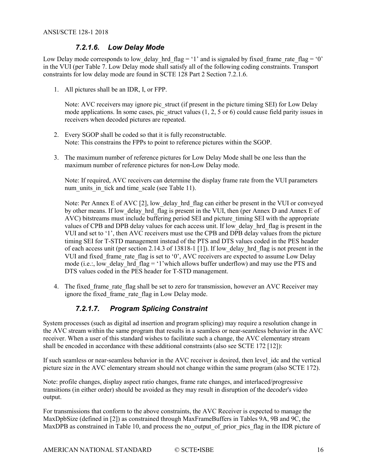#### *7.2.1.6. Low Delay Mode*

Low Delay mode corresponds to low delay hrd  $flag = '1'$  and is signaled by fixed frame rate  $flag = '0'$ in the VUI (per [Table 7.](#page-11-0) Low Delay mode shall satisfy all of the following coding constraints. Transport constraints for low delay mode are found in SCTE 128 Part 2 Section 7.2.1.6.

1. All pictures shall be an IDR, I, or FPP.

Note: AVC receivers may ignore pic struct (if present in the picture timing SEI) for Low Delay mode applications. In some cases, pic struct values  $(1, 2, 5 \text{ or } 6)$  could cause field parity issues in receivers when decoded pictures are repeated.

- 2. Every SGOP shall be coded so that it is fully reconstructable. Note: This constrains the FPPs to point to reference pictures within the SGOP.
- 3. The maximum number of reference pictures for Low Delay Mode shall be one less than the maximum number of reference pictures for non-Low Delay mode.

Note: If required, AVC receivers can determine the display frame rate from the VUI parameters num units in tick and time scale (see [Table 11\)](#page-14-2).

Note: Per Annex E of AVC [\[2\],](#page-4-6) low delay hrd flag can either be present in the VUI or conveyed by other means. If low\_delay hrd flag is present in the VUI, then (per Annex D and Annex E of AVC) bitstreams must include buffering period SEI and picture\_timing SEI with the appropriate values of CPB and DPB delay values for each access unit. If low\_delay\_hrd\_flag is present in the VUI and set to '1', then AVC receivers must use the CPB and DPB delay values from the picture timing SEI for T-STD management instead of the PTS and DTS values coded in the PES header of each access unit (per section 2.14.3 of 13818-1 [\[1\]\)](#page-4-7). If low\_delay\_hrd\_flag is not present in the VUI and fixed frame rate flag is set to '0', AVC receivers are expected to assume Low Delay mode (i.e.:, low delay hrd  $flag = '1'$  which allows buffer underflow) and may use the PTS and DTS values coded in the PES header for T-STD management.

4. The fixed frame rate flag shall be set to zero for transmission, however an AVC Receiver may ignore the fixed frame rate flag in Low Delay mode.

#### *7.2.1.7. Program Splicing Constraint*

System processes (such as digital ad insertion and program splicing) may require a resolution change in the AVC stream within the same program that results in a seamless or near-seamless behavior in the AVC receiver. When a user of this standard wishes to facilitate such a change, the AVC elementary stream shall be encoded in accordance with these additional constraints (also see SCTE 172 [\[12\]\)](#page-5-9):

If such seamless or near-seamless behavior in the AVC receiver is desired, then level\_idc and the vertical picture size in the AVC elementary stream should not change within the same program (also SCTE 172).

Note: profile changes, display aspect ratio changes, frame rate changes, and interlaced/progressive transitions (in either order) should be avoided as they may result in disruption of the decoder's video output.

For transmissions that conform to the above constraints, the AVC Receiver is expected to manage the MaxDpbSize (defined in [\[2\]\)](#page-4-6) as constrained through MaxFrameBuffers in Tables 9A, 9B and 9C, the MaxDPB as constrained in [Table 10,](#page-14-1) and process the no-output of prior pics flag in the IDR picture of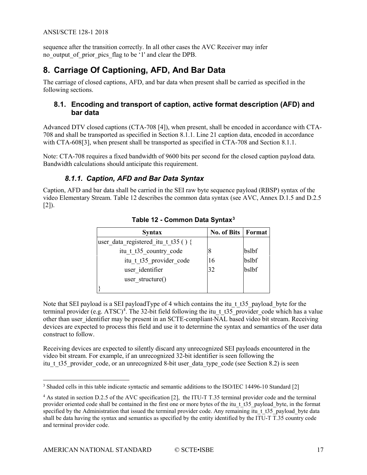#### ANSI/SCTE 128-1 2018

sequence after the transition correctly. In all other cases the AVC Receiver may infer no\_output\_of\_prior\_pics\_flag to be '1' and clear the DPB.

# <span id="page-16-0"></span>**8. Carriage Of Captioning, AFD, And Bar Data**

The carriage of closed captions, AFD, and bar data when present shall be carried as specified in the following sections.

#### <span id="page-16-1"></span>**8.1. Encoding and transport of caption, active format description (AFD) and bar data**

Advanced DTV closed captions (CTA-708 [\[4\]\)](#page-4-8), when present, shall be encoded in accordance with CTA-708 and shall be transported as specified in Section 8.1.1. Line 21 caption data, encoded in accordance with CTA-60[8\[3\],](#page-4-9) when present shall be transported as specified in CTA-708 and Section 8.1.1.

<span id="page-16-2"></span>Note: CTA-708 requires a fixed bandwidth of 9600 bits per second for the closed caption payload data. Bandwidth calculations should anticipate this requirement.

#### *8.1.1. Caption, AFD and Bar Data Syntax*

<span id="page-16-3"></span>Caption, AFD and bar data shall be carried in the SEI raw byte sequence payload (RBSP) syntax of the video Elementary Stream. [Table 12](#page-16-3) describes the common data syntax (see AVC, Annex D.1.5 and D.2.5  $[2]$ ).

| <b>Syntax</b>                       | <b>No. of Bits   Format</b> |       |
|-------------------------------------|-----------------------------|-------|
| user data registered itu t t35 () { |                             |       |
| itu t t35 country code              | 8                           | bslbf |
| itu t t35 provider code             | 16                          | bslbf |
| user identifier                     | 32                          | bslbf |
| user structure()                    |                             |       |
|                                     |                             |       |

#### **Table 12 - Common Data Syntax[3](#page-16-4)**

Note that SEI payload is a SEI payloadType of 4 which contains the itu t t35 payload byte for the terminal provider (e.g. ATSC)<sup>[4](#page-16-5)</sup>. The 32-bit field following the itu\_t\_t35\_provider\_code which has a value other than user identifier may be present in an SCTE-compliant-NAL based video bit stream. Receiving devices are expected to process this field and use it to determine the syntax and semantics of the user data construct to follow.

Receiving devices are expected to silently discard any unrecognized SEI payloads encountered in the video bit stream. For example, if an unrecognized 32-bit identifier is seen following the itu t t 35 provider code, or an unrecognized 8-bit user data type code (see Section 8.2) is seen

<span id="page-16-4"></span><sup>&</sup>lt;sup>3</sup> Shaded cells in this table indicate syntactic and semantic additions to the ISO/IEC 14496-10 Standard [\[2\]](#page-4-6)

<span id="page-16-5"></span><sup>&</sup>lt;sup>4</sup> As stated in section D.2.5 of the AVC specification [\[2\],](#page-4-6) the ITU-T T.35 terminal provider code and the terminal provider oriented code shall be contained in the first one or more bytes of the itu\_t\_t35\_payload\_byte, in the format specified by the Administration that issued the terminal provider code. Any remaining itu t t35 payload byte data shall be data having the syntax and semantics as specified by the entity identified by the ITU-T T.35 country code and terminal provider code.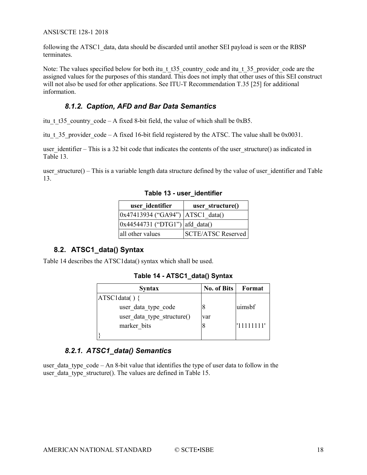#### ANSI/SCTE 128-1 2018

following the ATSC1\_data, data should be discarded until another SEI payload is seen or the RBSP terminates.

Note: The values specified below for both itu t t35 country code and itu t 35 provider code are the assigned values for the purposes of this standard. This does not imply that other uses of this SEI construct will not also be used for other applications. See ITU-T Recommendation T.35 [\[25\]](#page-5-8) for additional information.

#### *8.1.2. Caption, AFD and Bar Data Semantics*

<span id="page-17-0"></span>itu t t35 country code – A fixed 8-bit field, the value of which shall be 0xB5.

itu t 35 provider code – A fixed 16-bit field registered by the ATSC. The value shall be 0x0031.

user identifier – This is a 32 bit code that indicates the contents of the user structure() as indicated in [Table 13.](#page-17-3)

<span id="page-17-3"></span>user  $structure() - This is a variable length data structure defined by the value of user identifier and Table$ [13.](#page-17-3)

| user identifier                        | user structure()          |
|----------------------------------------|---------------------------|
| $ 0x47413934$ ("GA94") $ ATSC1$ data() |                           |
| $ 0x44544731$ ("DTG1") afd data()      |                           |
| all other values                       | <b>SCTE/ATSC Reserved</b> |

**Table 13 - user\_identifier**

#### <span id="page-17-1"></span>**8.2. ATSC1\_data() Syntax**

<span id="page-17-4"></span>[Table 14](#page-17-4) describes the ATSC1data() syntax which shall be used.

**Table 14 - ATSC1\_data() Syntax**

| <b>Syntax</b>              | <b>No. of Bits</b> | Format      |
|----------------------------|--------------------|-------------|
| ATSC1data()                |                    |             |
| user data type code        |                    | uimsbf      |
| user data type structure() | var                |             |
| marker bits                |                    | !'11111111' |
|                            |                    |             |

#### *8.2.1. ATSC1\_data() Semantics*

<span id="page-17-2"></span>user data type  $\c{code - An 8-bit value that identifies the type of user data to follow in the$ user data type structure(). The values are defined in [Table 15.](#page-18-2)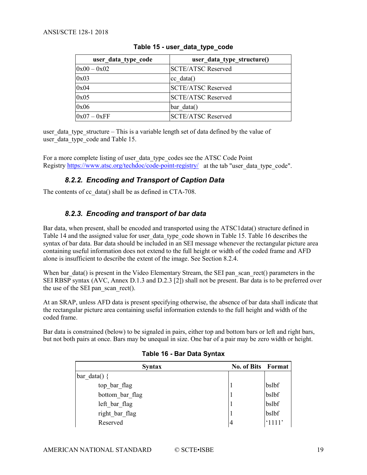<span id="page-18-2"></span>

| user_data_type_code | user_data_type_structure() |
|---------------------|----------------------------|
| $0x00 - 0x02$       | <b>SCTE/ATSC Reserved</b>  |
| 0x03                | $ cc \text{ data} $        |
| 0x04                | <b>SCTE/ATSC Reserved</b>  |
| 0x05                | <b>SCTE/ATSC Reserved</b>  |
| 0x06                | bar data()                 |
| $0x07 - 0xFF$       | <b>SCTE/ATSC Reserved</b>  |

#### **Table 15 - user\_data\_type\_code**

user data type structure – This is a variable length set of data defined by the value of user data type code and [Table 15.](#page-18-2)

<span id="page-18-0"></span>For a more complete listing of user\_data\_type\_codes see the ATSC Code Point Registry <https://www.atsc.org/techdoc/code-point-registry/>at the tab "user data type code".

#### *8.2.2. Encoding and Transport of Caption Data*

<span id="page-18-1"></span>The contents of cc\_data() shall be as defined in CTA-708.

#### *8.2.3. Encoding and transport of bar data*

Bar data, when present, shall be encoded and transported using the ATSC1data() structure defined in [Table 14](#page-17-4) and the assigned value for user data type code shown in [Table 15.](#page-18-2) [Table 16](#page-18-3) describes the syntax of bar data. Bar data should be included in an SEI message whenever the rectangular picture area containing useful information does not extend to the full height or width of the coded frame and AFD alone is insufficient to describe the extent of the image. See Section 8.2.4.

When bar\_data() is present in the Video Elementary Stream, the SEI pan\_scan\_rect() parameters in the SEI RBSP syntax (AVC, Annex D.1.3 and D.2.3 [\[2\]\)](#page-4-6) shall not be present. Bar data is to be preferred over the use of the SEI pan\_scan\_rect().

At an SRAP, unless AFD data is present specifying otherwise, the absence of bar data shall indicate that the rectangular picture area containing useful information extends to the full height and width of the coded frame.

<span id="page-18-3"></span>Bar data is constrained (below) to be signaled in pairs, either top and bottom bars or left and right bars, but not both pairs at once. Bars may be unequal in size. One bar of a pair may be zero width or height.

| <b>Syntax</b>   | No. of Bits Format |        |
|-----------------|--------------------|--------|
| bar data() {    |                    |        |
| top bar flag    |                    | bslbf  |
| bottom bar flag |                    | bslbf  |
| left bar flag   |                    | bslbf  |
| right bar flag  |                    | bslbf  |
| Reserved        | $\overline{4}$     | '1111' |

#### **Table 16 - Bar Data Syntax**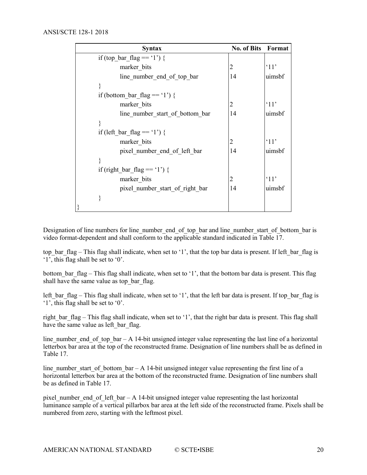| <b>Syntax</b>                   | <b>No. of Bits</b> | Format         |
|---------------------------------|--------------------|----------------|
| if (top bar flag == '1') {      |                    |                |
| marker bits                     | 2                  | $^{\circ}11$ ' |
| line number end of top bar      | 14                 | uimsbf         |
|                                 |                    |                |
| if (bottom bar flag == '1') {   |                    |                |
| marker bits                     | 2                  | $^{\circ}11'$  |
| line number start of bottom bar | 14                 | uimsbf         |
|                                 |                    |                |
| if (left bar flag $== '1'$ ) {  |                    |                |
| marker bits                     | 2                  | $^{\circ}11'$  |
| pixel number end of left bar    | 14                 | uimsbf         |
|                                 |                    |                |
| if (right bar flag == '1') {    |                    |                |
| marker bits                     | 2                  | $^{\circ}11'$  |
| pixel number start of right bar | 14                 | uimsbf         |
|                                 |                    |                |
|                                 |                    |                |

Designation of line numbers for line\_number\_end\_of\_top\_bar and line\_number\_start\_of\_bottom\_bar is video format-dependent and shall conform to the applicable standard indicated in [Table 17.](#page-20-1)

top bar flag – This flag shall indicate, when set to '1', that the top bar data is present. If left bar flag is '1', this flag shall be set to '0'.

bottom bar flag – This flag shall indicate, when set to '1', that the bottom bar data is present. This flag shall have the same value as top bar flag.

left bar flag – This flag shall indicate, when set to '1', that the left bar data is present. If top bar flag is '1', this flag shall be set to '0'.

right bar flag – This flag shall indicate, when set to '1', that the right bar data is present. This flag shall have the same value as left bar flag.

line number end of top bar – A 14-bit unsigned integer value representing the last line of a horizontal letterbox bar area at the top of the reconstructed frame. Designation of line numbers shall be as defined in [Table 17.](#page-20-1)

line number start of bottom bar – A 14-bit unsigned integer value representing the first line of a horizontal letterbox bar area at the bottom of the reconstructed frame. Designation of line numbers shall be as defined in [Table 17.](#page-20-1)

pixel number end of left bar  $- A 14$ -bit unsigned integer value representing the last horizontal luminance sample of a vertical pillarbox bar area at the left side of the reconstructed frame. Pixels shall be numbered from zero, starting with the leftmost pixel.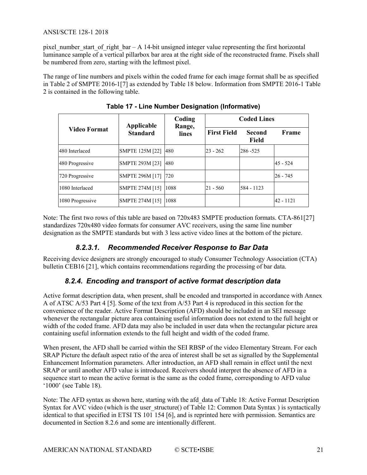pixel number start of right  $bar - A$  14-bit unsigned integer value representing the first horizontal luminance sample of a vertical pillarbox bar area at the right side of the reconstructed frame. Pixels shall be numbered from zero, starting with the leftmost pixel.

<span id="page-20-1"></span>The range of line numbers and pixels within the coded frame for each image format shall be as specified in Table 2 of SMPTE 2016-[1\[7\]](#page-4-10) as extended by [Table 18](#page-21-2) below. Information from SMPTE 2016-1 Table 2 is contained in the following table.

| Video Format     | Applicable<br><b>Standard</b> | Coding<br>Range,<br>lines | <b>Coded Lines</b> |                        |              |
|------------------|-------------------------------|---------------------------|--------------------|------------------------|--------------|
|                  |                               |                           | <b>First Field</b> | <b>Second</b><br>Field | Frame        |
| 480 Interlaced   | SMPTE 125M [22]  480          |                           | $23 - 262$         | 286-525                |              |
| 480 Progressive  | SMPTE 293M [23]  480          |                           |                    |                        | $45 - 524$   |
| 720 Progressive  | <b>SMPTE 296M [17]</b>        | 720                       |                    |                        | $26 - 745$   |
| 1080 Interlaced  | SMPTE 274M [15]               | 1088                      | $21 - 560$         | 584 - 1123             |              |
| 1080 Progressive | SMPTE 274M [15]               | 1088                      |                    |                        | $142 - 1121$ |

**Table 17 - Line Number Designation (Informative)**

Note: The first two rows of this table are based on 720x483 SMPTE production formats. CTA-86[1\[27\]](#page-5-12) standardizes 720x480 video formats for consumer AVC receivers, using the same line number designation as the SMPTE standards but with 3 less active video lines at the bottom of the picture.

#### *8.2.3.1. Recommended Receiver Response to Bar Data*

<span id="page-20-0"></span>Receiving device designers are strongly encouraged to study Consumer Technology Association (CTA) bulletin CEB16 [\[21\],](#page-5-13) which contains recommendations regarding the processing of bar data.

#### *8.2.4. Encoding and transport of active format description data*

Active format description data, when present, shall be encoded and transported in accordance with Annex A of ATSC A/53 Part 4 [\[5\].](#page-4-11) Some of the text from A/53 Part 4 is reproduced in this section for the convenience of the reader. Active Format Description (AFD) should be included in an SEI message whenever the rectangular picture area containing useful information does not extend to the full height or width of the coded frame. AFD data may also be included in user data when the rectangular picture area containing useful information extends to the full height and width of the coded frame.

When present, the AFD shall be carried within the SEI RBSP of the video Elementary Stream. For each SRAP Picture the default aspect ratio of the area of interest shall be set as signalled by the Supplemental Enhancement Information parameters. After introduction, an AFD shall remain in effect until the next SRAP or until another AFD value is introduced. Receivers should interpret the absence of AFD in a sequence start to mean the active format is the same as the coded frame, corresponding to AFD value '1000' (see [Table 18\)](#page-21-2).

Note: The AFD syntax as shown here, starting with the afd\_data of [Table 18:](#page-21-2) Active Format Description Syntax for AVC video (which is the user structure() of [Table 12:](#page-16-3) Common Data Syntax ) is syntactically identical to that specified in ETSI TS 101 154 [\[6\],](#page-4-12) and is reprinted here with permission. Semantics are documented in Section 8.2.6 and some are intentionally different.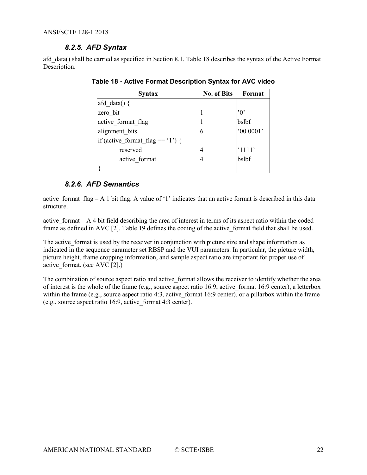#### *8.2.5. AFD Syntax*

<span id="page-21-2"></span><span id="page-21-0"></span>afd\_data() shall be carried as specified in Section 8.1. [Table 18](#page-21-2) describes the syntax of the Active Format Description.

| <b>Syntax</b>                    | <b>No. of Bits</b> | Format                                           |
|----------------------------------|--------------------|--------------------------------------------------|
| afd data( $)$ {                  |                    |                                                  |
| zero bit                         |                    | $^{\prime}$ () <sup><math>^{\prime}</math></sup> |
| active format flag               |                    | bslbf                                            |
| alignment bits                   | 6                  | '00 0001'                                        |
| if (active format flag == '1') { |                    |                                                  |
| reserved                         | 4                  | $^{\circ}1111'$                                  |
| active format                    | 4                  | bslbf                                            |
|                                  |                    |                                                  |

**Table 18 - Active Format Description Syntax for AVC video**

#### *8.2.6. AFD Semantics*

<span id="page-21-1"></span>active format flag – A 1 bit flag. A value of '1' indicates that an active format is described in this data structure.

active format  $- A 4$  bit field describing the area of interest in terms of its aspect ratio within the coded frame as defined in AVC [\[2\].](#page-4-6) [Table 19](#page-22-2) defines the coding of the active\_format field that shall be used.

The active format is used by the receiver in conjunction with picture size and shape information as indicated in the sequence parameter set RBSP and the VUI parameters. In particular, the picture width, picture height, frame cropping information, and sample aspect ratio are important for proper use of active format. (see AVC  $[2]$ .)

The combination of source aspect ratio and active format allows the receiver to identify whether the area of interest is the whole of the frame (e.g., source aspect ratio 16:9, active\_format 16:9 center), a letterbox within the frame (e.g., source aspect ratio 4:3, active format 16:9 center), or a pillarbox within the frame (e.g., source aspect ratio 16:9, active\_format 4:3 center).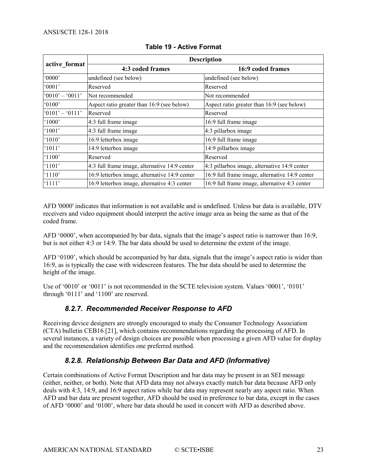<span id="page-22-2"></span>

|                   | <b>Description</b>                            |                                                |  |
|-------------------|-----------------------------------------------|------------------------------------------------|--|
| active format     | 4:3 coded frames                              | 16:9 coded frames                              |  |
| '0000'            | undefined (see below)                         | undefined (see below)                          |  |
| 0001'             | Reserved                                      | Reserved                                       |  |
| $0010' - 0011'$   | Not recommended                               | Not recommended                                |  |
| 0100'             | Aspect ratio greater than 16:9 (see below)    | Aspect ratio greater than 16:9 (see below)     |  |
| $'0101' - '0111'$ | Reserved                                      | Reserved                                       |  |
| $^{\circ}1000'$   | $4:3$ full frame image                        | 16:9 full frame image                          |  |
| $^{\circ}1001'$   | 4:3 full frame image                          | 4:3 pillarbox image                            |  |
| $^{\circ}1010'$   | 16:9 letterbox image                          | 16:9 full frame image                          |  |
| '1011'            | 14:9 letterbox image                          | 14:9 pillarbox image                           |  |
| $^{\circ}1100'$   | Reserved                                      | Reserved                                       |  |
| $^{\circ}1101'$   | 4:3 full frame image, alternative 14:9 center | 4:3 pillarbox image, alternative 14:9 center   |  |
| $^{\circ}1110'$   | 16:9 letterbox image, alternative 14:9 center | 16:9 full frame image, alternative 14:9 center |  |
| '1111'            | 16:9 letterbox image, alternative 4:3 center  | 16:9 full frame image, alternative 4:3 center  |  |

#### **Table 19 - Active Format**

AFD '0000' indicates that information is not available and is undefined. Unless bar data is available, DTV receivers and video equipment should interpret the active image area as being the same as that of the coded frame.

AFD '0000', when accompanied by bar data, signals that the image's aspect ratio is narrower than 16:9, but is not either 4:3 or 14:9. The bar data should be used to determine the extent of the image.

AFD '0100', which should be accompanied by bar data, signals that the image's aspect ratio is wider than 16:9, as is typically the case with widescreen features. The bar data should be used to determine the height of the image.

<span id="page-22-0"></span>Use of '0010' or '0011' is not recommended in the SCTE television system. Values '0001', '0101' through '0111' and '1100' are reserved.

#### *8.2.7. Recommended Receiver Response to AFD*

Receiving device designers are strongly encouraged to study the Consumer Technology Association (CTA) bulletin CEB16 [\[21\],](#page-5-13) which contains recommendations regarding the processing of AFD. In several instances, a variety of design choices are possible when processing a given AFD value for display and the recommendation identifies one preferred method.

#### *8.2.8. Relationship Between Bar Data and AFD (Informative)*

<span id="page-22-1"></span>Certain combinations of Active Format Description and bar data may be present in an SEI message (either, neither, or both). Note that AFD data may not always exactly match bar data because AFD only deals with 4:3, 14:9, and 16:9 aspect ratios while bar data may represent nearly any aspect ratio. When AFD and bar data are present together, AFD should be used in preference to bar data, except in the cases of AFD '0000' and '0100', where bar data should be used in concert with AFD as described above.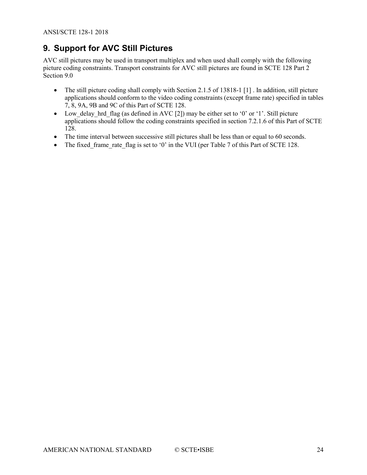# <span id="page-23-0"></span>**9. Support for AVC Still Pictures**

AVC still pictures may be used in transport multiplex and when used shall comply with the following picture coding constraints. Transport constraints for AVC still pictures are found in SCTE 128 Part 2 Section 9.0

- The still picture coding shall comply with Section 2.1.5 of 13818-1 [\[1\]](#page-4-7). In addition, still picture applications should conform to the video coding constraints (except frame rate) specified in tables 7, 8, 9A, 9B and 9C of this Part of SCTE 128.
- Low delay hrd flag (as defined in AV[C \[2\]\)](#page-4-6) may be either set to '0' or '1'. Still picture applications should follow the coding constraints specified in section 7.2.1.6 of this Part of SCTE 128.
- The time interval between successive still pictures shall be less than or equal to 60 seconds.
- The fixed frame rate flag is set to '0' in the VUI (per Table 7 of this Part of SCTE 128.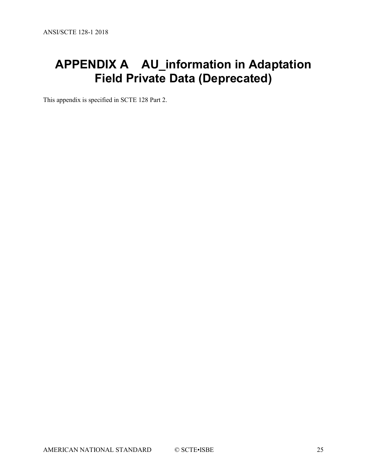# <span id="page-24-0"></span>**APPENDIX A AU\_information in Adaptation Field Private Data (Deprecated)**

This appendix is specified in SCTE 128 Part 2.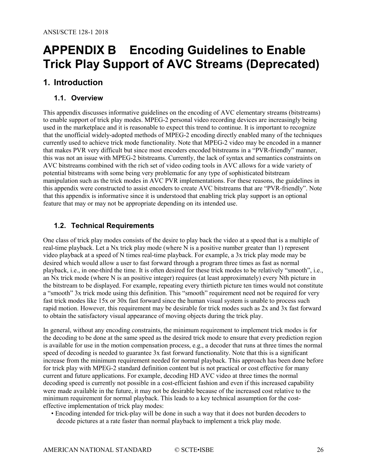# <span id="page-25-0"></span>**APPENDIX B Encoding Guidelines to Enable Trick Play Support of AVC Streams (Deprecated)**

## <span id="page-25-2"></span><span id="page-25-1"></span>**1. Introduction**

#### **1.1. Overview**

This appendix discusses informative guidelines on the encoding of AVC elementary streams (bitstreams) to enable support of trick play modes. MPEG-2 personal video recording devices are increasingly being used in the marketplace and it is reasonable to expect this trend to continue. It is important to recognize that the unofficial widely-adopted methods of MPEG-2 encoding directly enabled many of the techniques currently used to achieve trick mode functionality. Note that MPEG-2 video may be encoded in a manner that makes PVR very difficult but since most encoders encoded bitstreams in a "PVR-friendly" manner, this was not an issue with MPEG-2 bitstreams. Currently, the lack of syntax and semantics constraints on AVC bitstreams combined with the rich set of video coding tools in AVC allows for a wide variety of potential bitstreams with some being very problematic for any type of sophisticated bitstream manipulation such as the trick modes in AVC PVR implementations. For these reasons, the guidelines in this appendix were constructed to assist encoders to create AVC bitstreams that are "PVR-friendly". Note that this appendix is informative since it is understood that enabling trick play support is an optional feature that may or may not be appropriate depending on its intended use.

#### <span id="page-25-3"></span>**1.2. Technical Requirements**

One class of trick play modes consists of the desire to play back the video at a speed that is a multiple of real-time playback. Let a Nx trick play mode (where N is a positive number greater than 1) represent video playback at a speed of N times real-time playback. For example, a 3x trick play mode may be desired which would allow a user to fast forward through a program three times as fast as normal playback, i.e., in one-third the time. It is often desired for these trick modes to be relatively "smooth", i.e., an Nx trick mode (where N is an positive integer) requires (at least approximately) every Nth picture in the bitstream to be displayed. For example, repeating every thirtieth picture ten times would not constitute a "smooth" 3x trick mode using this definition. This "smooth" requirement need not be required for very fast trick modes like 15x or 30x fast forward since the human visual system is unable to process such rapid motion. However, this requirement may be desirable for trick modes such as 2x and 3x fast forward to obtain the satisfactory visual appearance of moving objects during the trick play.

In general, without any encoding constraints, the minimum requirement to implement trick modes is for the decoding to be done at the same speed as the desired trick mode to ensure that every prediction region is available for use in the motion compensation process, e.g., a decoder that runs at three times the normal speed of decoding is needed to guarantee 3x fast forward functionality. Note that this is a significant increase from the minimum requirement needed for normal playback. This approach has been done before for trick play with MPEG-2 standard definition content but is not practical or cost effective for many current and future applications. For example, decoding HD AVC video at three times the normal decoding speed is currently not possible in a cost-efficient fashion and even if this increased capability were made available in the future, it may not be desirable because of the increased cost relative to the minimum requirement for normal playback. This leads to a key technical assumption for the costeffective implementation of trick play modes:

• Encoding intended for trick-play will be done in such a way that it does not burden decoders to decode pictures at a rate faster than normal playback to implement a trick play mode.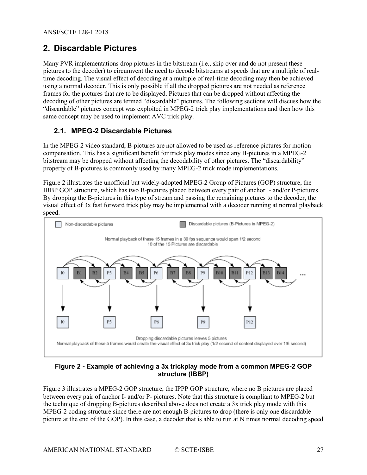## <span id="page-26-0"></span>**2. Discardable Pictures**

Many PVR implementations drop pictures in the bitstream (i.e., skip over and do not present these pictures to the decoder) to circumvent the need to decode bitstreams at speeds that are a multiple of realtime decoding. The visual effect of decoding at a multiple of real-time decoding may then be achieved using a normal decoder. This is only possible if all the dropped pictures are not needed as reference frames for the pictures that are to be displayed. Pictures that can be dropped without affecting the decoding of other pictures are termed "discardable" pictures. The following sections will discuss how the "discardable" pictures concept was exploited in MPEG-2 trick play implementations and then how this same concept may be used to implement AVC trick play.

#### <span id="page-26-1"></span>**2.1. MPEG-2 Discardable Pictures**

In the MPEG-2 video standard, B-pictures are not allowed to be used as reference pictures for motion compensation. This has a significant benefit for trick play modes since any B-pictures in a MPEG-2 bitstream may be dropped without affecting the decodability of other pictures. The "discardability" property of B-pictures is commonly used by many MPEG-2 trick mode implementations.

[Figure 2](#page-26-2) illustrates the unofficial but widely-adopted MPEG-2 Group of Pictures (GOP) structure, the IBBP GOP structure, which has two B-pictures placed between every pair of anchor I- and/or P-pictures. By dropping the B-pictures in this type of stream and passing the remaining pictures to the decoder, the visual effect of 3x fast forward trick play may be implemented with a decoder running at normal playback speed.



#### <span id="page-26-2"></span>**Figure 2 - Example of achieving a 3x trickplay mode from a common MPEG-2 GOP structure (IBBP)**

[Figure 3](#page-27-2) illustrates a MPEG-2 GOP structure, the IPPP GOP structure, where no B pictures are placed between every pair of anchor I- and/or P- pictures. Note that this structure is compliant to MPEG-2 but the technique of dropping B-pictures described above does not create a 3x trick play mode with this MPEG-2 coding structure since there are not enough B-pictures to drop (there is only one discardable picture at the end of the GOP). In this case, a decoder that is able to run at N times normal decoding speed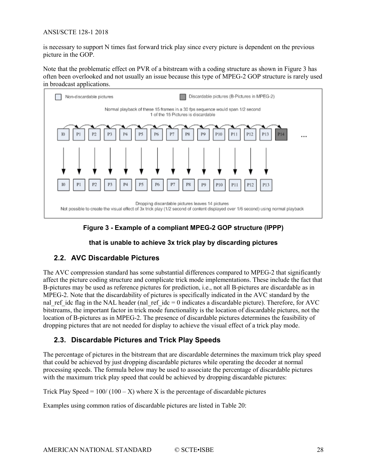#### ANSI/SCTE 128-1 2018

is necessary to support N times fast forward trick play since every picture is dependent on the previous picture in the GOP.

Note that the problematic effect on PVR of a bitstream with a coding structure as shown in [Figure 3](#page-27-2) has often been overlooked and not usually an issue because this type of MPEG-2 GOP structure is rarely used in broadcast applications.



**Figure 3 - Example of a compliant MPEG-2 GOP structure (IPPP)**

#### **that is unable to achieve 3x trick play by discarding pictures**

#### <span id="page-27-2"></span><span id="page-27-0"></span>**2.2. AVC Discardable Pictures**

The AVC compression standard has some substantial differences compared to MPEG-2 that significantly affect the picture coding structure and complicate trick mode implementations. These include the fact that B-pictures may be used as reference pictures for prediction, i.e., not all B-pictures are discardable as in MPEG-2. Note that the discardability of pictures is specifically indicated in the AVC standard by the nal\_ref\_idc flag in the NAL header (nal\_ref\_idc = 0 indicates a discardable picture). Therefore, for AVC bitstreams, the important factor in trick mode functionality is the location of discardable pictures, not the location of B-pictures as in MPEG-2. The presence of discardable pictures determines the feasibility of dropping pictures that are not needed for display to achieve the visual effect of a trick play mode.

#### <span id="page-27-1"></span>**2.3. Discardable Pictures and Trick Play Speeds**

The percentage of pictures in the bitstream that are discardable determines the maximum trick play speed that could be achieved by just dropping discardable pictures while operating the decoder at normal processing speeds. The formula below may be used to associate the percentage of discardable pictures with the maximum trick play speed that could be achieved by dropping discardable pictures:

Trick Play Speed =  $100/(100 - X)$  where X is the percentage of discardable pictures

Examples using common ratios of discardable pictures are listed in [Table 20:](#page-28-1)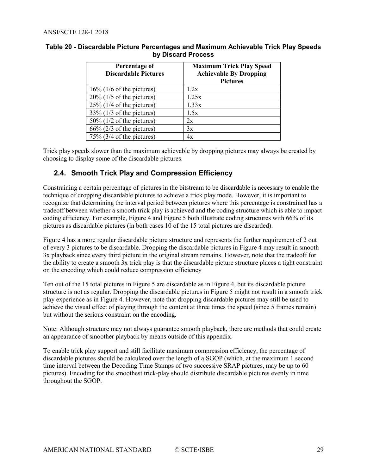| Percentage of<br><b>Discardable Pictures</b> | <b>Maximum Trick Play Speed</b><br><b>Achievable By Dropping</b><br><b>Pictures</b> |
|----------------------------------------------|-------------------------------------------------------------------------------------|
| $16\%$ (1/6 of the pictures)                 | 1.2x                                                                                |
| $20\%$ (1/5 of the pictures)                 | 1.25x                                                                               |
| $25\%$ (1/4 of the pictures)                 | 1.33x                                                                               |
| $33\%$ (1/3 of the pictures)                 | 1.5x                                                                                |
| $50\%$ (1/2 of the pictures)                 | 2x                                                                                  |
| $66\%$ (2/3 of the pictures)                 | 3x                                                                                  |
| $75\%$ (3/4 of the pictures)                 | 4x                                                                                  |

#### <span id="page-28-1"></span>**Table 20 - Discardable Picture Percentages and Maximum Achievable Trick Play Speeds by Discard Process**

Trick play speeds slower than the maximum achievable by dropping pictures may always be created by choosing to display some of the discardable pictures.

#### <span id="page-28-0"></span>**2.4. Smooth Trick Play and Compression Efficiency**

Constraining a certain percentage of pictures in the bitstream to be discardable is necessary to enable the technique of dropping discardable pictures to achieve a trick play mode. However, it is important to recognize that determining the interval period between pictures where this percentage is constrained has a tradeoff between whether a smooth trick play is achieved and the coding structure which is able to impact coding efficiency. For example, [Figure 4](#page-29-0) and [Figure 5](#page-29-1) both illustrate coding structures with 66% of its pictures as discardable pictures (in both cases 10 of the 15 total pictures are discarded).

[Figure 4](#page-29-0) has a more regular discardable picture structure and represents the further requirement of 2 out of every 3 pictures to be discardable. Dropping the discardable pictures in [Figure 4](#page-29-0) may result in smooth 3x playback since every third picture in the original stream remains. However, note that the tradeoff for the ability to create a smooth 3x trick play is that the discardable picture structure places a tight constraint on the encoding which could reduce compression efficiency

Ten out of the 15 total pictures i[n Figure 5](#page-29-1) are discardable as i[n Figure 4,](#page-29-0) but its discardable picture structure is not as regular. Dropping the discardable pictures in [Figure 5](#page-29-1) might not result in a smooth trick play experience as in [Figure 4.](#page-29-0) However, note that dropping discardable pictures may still be used to achieve the visual effect of playing through the content at three times the speed (since 5 frames remain) but without the serious constraint on the encoding.

Note: Although structure may not always guarantee smooth playback, there are methods that could create an appearance of smoother playback by means outside of this appendix.

To enable trick play support and still facilitate maximum compression efficiency, the percentage of discardable pictures should be calculated over the length of a SGOP (which, at the maximum 1 second time interval between the Decoding Time Stamps of two successive SRAP pictures, may be up to 60 pictures). Encoding for the smoothest trick-play should distribute discardable pictures evenly in time throughout the SGOP.